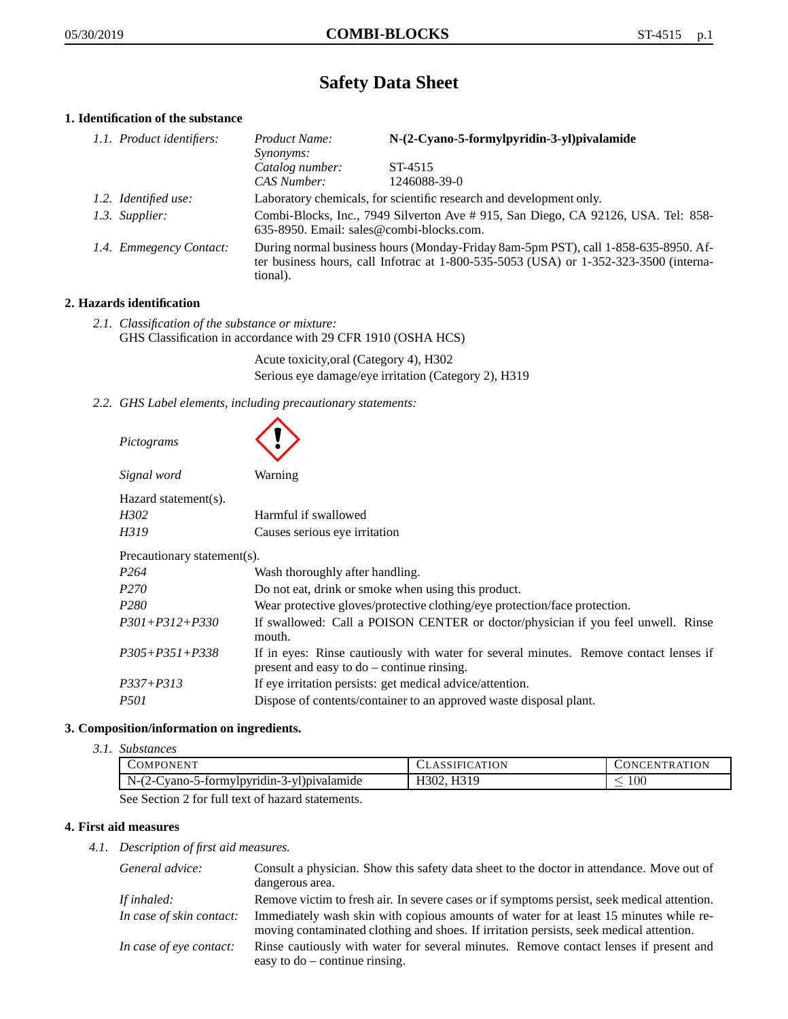# **Safety Data Sheet**

# **1. Identification of the substance**

| 1.1. Product identifiers: | Product Name:<br>Synonyms:                                                                                                                                                              | N-(2-Cyano-5-formylpyridin-3-yl)pivalamide                                        |
|---------------------------|-----------------------------------------------------------------------------------------------------------------------------------------------------------------------------------------|-----------------------------------------------------------------------------------|
|                           | Catalog number:<br>CAS Number:                                                                                                                                                          | ST-4515<br>1246088-39-0                                                           |
| 1.2. Identified use:      |                                                                                                                                                                                         | Laboratory chemicals, for scientific research and development only.               |
| 1.3. Supplier:            | 635-8950. Email: sales@combi-blocks.com.                                                                                                                                                | Combi-Blocks, Inc., 7949 Silverton Ave # 915, San Diego, CA 92126, USA. Tel: 858- |
| 1.4. Emmegency Contact:   | During normal business hours (Monday-Friday 8am-5pm PST), call 1-858-635-8950. Af-<br>ter business hours, call Infotrac at 1-800-535-5053 (USA) or 1-352-323-3500 (interna-<br>tional). |                                                                                   |

# **2. Hazards identification**

*2.1. Classification of the substance or mixture:* GHS Classification in accordance with 29 CFR 1910 (OSHA HCS)

> Acute toxicity,oral (Category 4), H302 Serious eye damage/eye irritation (Category 2), H319

*2.2. GHS Label elements, including precautionary statements:*

| Pictograms                  |                                                                                                                                       |
|-----------------------------|---------------------------------------------------------------------------------------------------------------------------------------|
| Signal word                 | Warning                                                                                                                               |
| Hazard statement(s).        |                                                                                                                                       |
| H302                        | Harmful if swallowed                                                                                                                  |
| H319                        | Causes serious eye irritation                                                                                                         |
| Precautionary statement(s). |                                                                                                                                       |
| P <sub>264</sub>            | Wash thoroughly after handling.                                                                                                       |
| P <sub>270</sub>            | Do not eat, drink or smoke when using this product.                                                                                   |
| P <sub>280</sub>            | Wear protective gloves/protective clothing/eye protection/face protection.                                                            |
| $P301 + P312 + P330$        | If swallowed: Call a POISON CENTER or doctor/physician if you feel unwell. Rinse<br>mouth.                                            |
| $P305 + P351 + P338$        | If in eyes: Rinse cautiously with water for several minutes. Remove contact lenses if<br>present and easy to $do$ – continue rinsing. |
| $P337 + P313$               | If eye irritation persists: get medical advice/attention.                                                                             |
| <i>P501</i>                 | Dispose of contents/container to an approved waste disposal plant.                                                                    |

# **3. Composition/information on ingredients.**

*3.1. Substances*

| COMPONENT                                                                                                                                      | 'ATION<br>SIFIC  | ENTR ATION<br>`HN'<br>N |
|------------------------------------------------------------------------------------------------------------------------------------------------|------------------|-------------------------|
| $N-($<br>vano-5-formylpyridin-3-yl)pivalamide<br>モント                                                                                           | H319<br>.4302. L | 100                     |
| $\alpha$ . $\alpha$ . $\alpha$ . $\alpha$ $\alpha$ . $\alpha$ 11 $\alpha$ . $\alpha$ . $\alpha$ 1. $\alpha$ . $\alpha$ . $\alpha$ . $\alpha$ . |                  |                         |

See Section 2 for full text of hazard statements.

# **4. First aid measures**

*4.1. Description of first aid measures.*

| General advice:          | Consult a physician. Show this safety data sheet to the doctor in attendance. Move out of                                                                                        |
|--------------------------|----------------------------------------------------------------------------------------------------------------------------------------------------------------------------------|
|                          | dangerous area.                                                                                                                                                                  |
| If inhaled:              | Remove victim to fresh air. In severe cases or if symptoms persist, seek medical attention.                                                                                      |
| In case of skin contact: | Immediately wash skin with copious amounts of water for at least 15 minutes while re-<br>moving contaminated clothing and shoes. If irritation persists, seek medical attention. |
| In case of eye contact:  | Rinse cautiously with water for several minutes. Remove contact lenses if present and<br>easy to $do$ – continue rinsing.                                                        |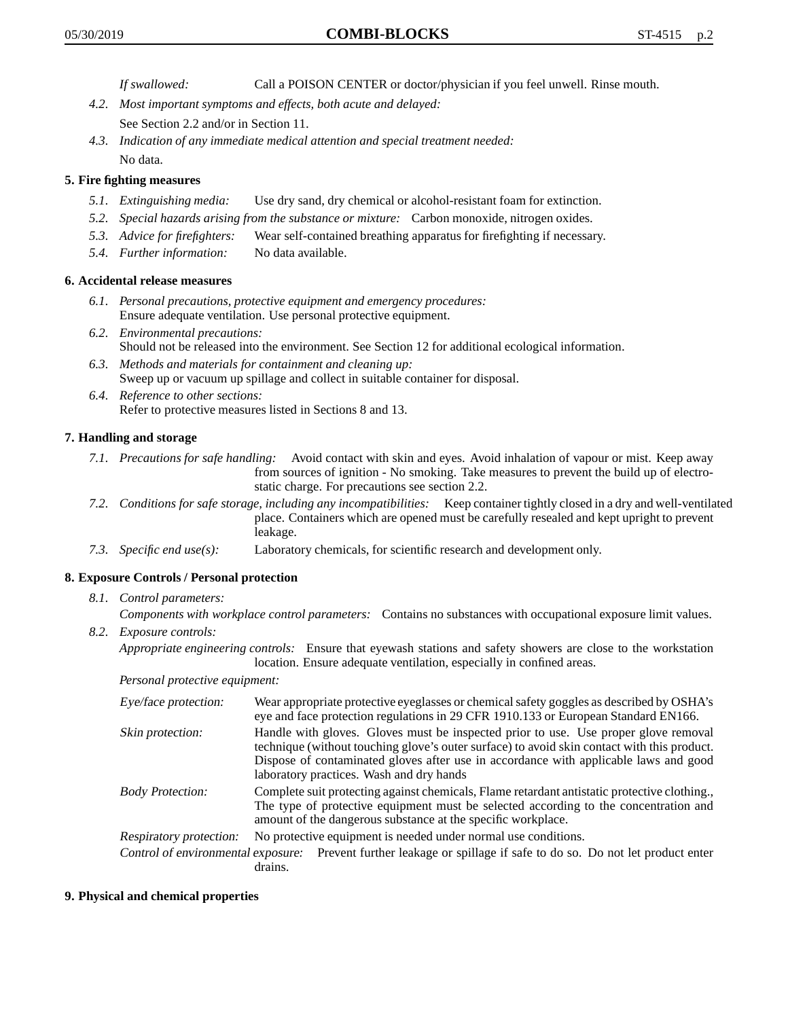*If swallowed:* Call a POISON CENTER or doctor/physician if you feel unwell. Rinse mouth.

- *4.2. Most important symptoms and effects, both acute and delayed:* See Section 2.2 and/or in Section 11.
- *4.3. Indication of any immediate medical attention and special treatment needed:* No data.

# **5. Fire fighting measures**

- *5.1. Extinguishing media:* Use dry sand, dry chemical or alcohol-resistant foam for extinction.
- *5.2. Special hazards arising from the substance or mixture:* Carbon monoxide, nitrogen oxides.
- *5.3. Advice for firefighters:* Wear self-contained breathing apparatus for firefighting if necessary.
- *5.4. Further information:* No data available.

#### **6. Accidental release measures**

- *6.1. Personal precautions, protective equipment and emergency procedures:* Ensure adequate ventilation. Use personal protective equipment.
- *6.2. Environmental precautions:* Should not be released into the environment. See Section 12 for additional ecological information.
- *6.3. Methods and materials for containment and cleaning up:* Sweep up or vacuum up spillage and collect in suitable container for disposal.
- *6.4. Reference to other sections:* Refer to protective measures listed in Sections 8 and 13.

### **7. Handling and storage**

- *7.1. Precautions for safe handling:* Avoid contact with skin and eyes. Avoid inhalation of vapour or mist. Keep away from sources of ignition - No smoking. Take measures to prevent the build up of electrostatic charge. For precautions see section 2.2.
- *7.2. Conditions for safe storage, including any incompatibilities:* Keep container tightly closed in a dry and well-ventilated place. Containers which are opened must be carefully resealed and kept upright to prevent leakage.
- *7.3. Specific end use(s):* Laboratory chemicals, for scientific research and development only.

#### **8. Exposure Controls / Personal protection**

*8.1. Control parameters:*

*Components with workplace control parameters:* Contains no substances with occupational exposure limit values.

*8.2. Exposure controls:*

*Appropriate engineering controls:* Ensure that eyewash stations and safety showers are close to the workstation location. Ensure adequate ventilation, especially in confined areas.

*Personal protective equipment:*

| Eye/face protection:    | Wear appropriate protective eyeglasses or chemical safety goggles as described by OSHA's<br>eye and face protection regulations in 29 CFR 1910.133 or European Standard EN166.                                                                                                                                         |  |
|-------------------------|------------------------------------------------------------------------------------------------------------------------------------------------------------------------------------------------------------------------------------------------------------------------------------------------------------------------|--|
| Skin protection:        | Handle with gloves. Gloves must be inspected prior to use. Use proper glove removal<br>technique (without touching glove's outer surface) to avoid skin contact with this product.<br>Dispose of contaminated gloves after use in accordance with applicable laws and good<br>laboratory practices. Wash and dry hands |  |
| <b>Body Protection:</b> | Complete suit protecting against chemicals, Flame retardant antistatic protective clothing.<br>The type of protective equipment must be selected according to the concentration and<br>amount of the dangerous substance at the specific workplace.                                                                    |  |
| Respiratory protection: | No protective equipment is needed under normal use conditions.                                                                                                                                                                                                                                                         |  |
|                         | Control of environmental exposure: Prevent further leakage or spillage if safe to do so. Do not let product enter<br>drains.                                                                                                                                                                                           |  |

#### **9. Physical and chemical properties**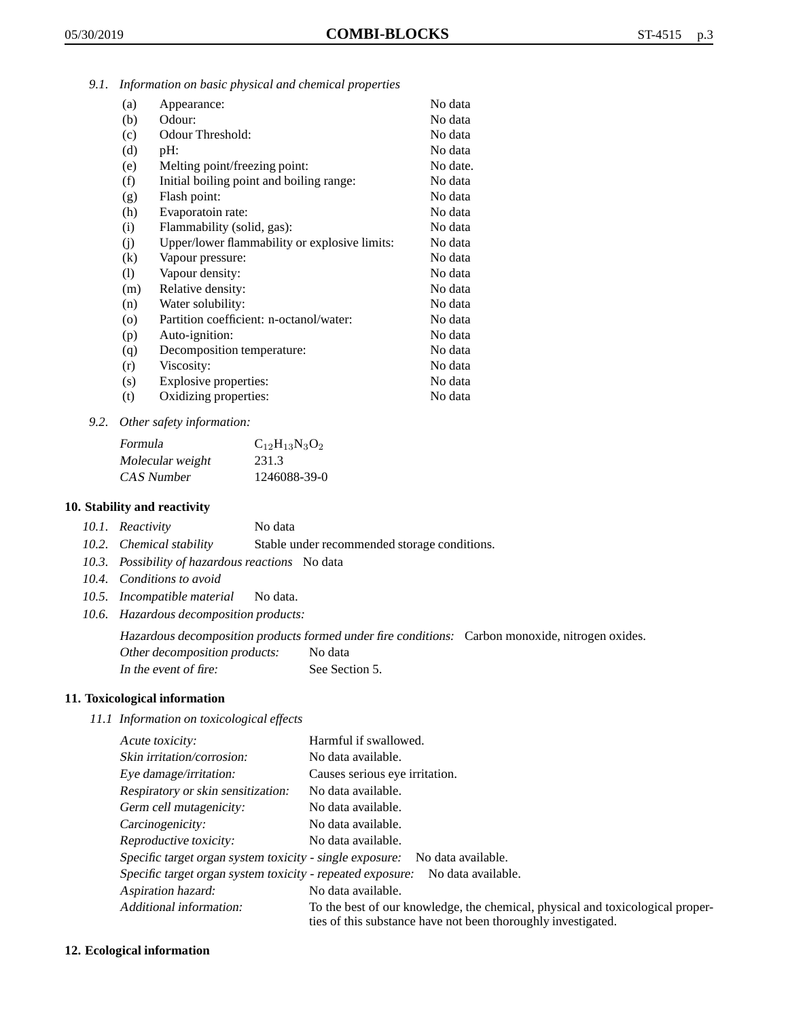*9.1. Information on basic physical and chemical properties*

| (a)                | Appearance:                                   | No data  |
|--------------------|-----------------------------------------------|----------|
| (b)                | Odour:                                        | No data  |
| (c)                | Odour Threshold:                              | No data  |
| (d)                | pH:                                           | No data  |
| (e)                | Melting point/freezing point:                 | No date. |
| (f)                | Initial boiling point and boiling range:      | No data  |
| (g)                | Flash point:                                  | No data  |
| (h)                | Evaporatoin rate:                             | No data  |
| (i)                | Flammability (solid, gas):                    | No data  |
| (i)                | Upper/lower flammability or explosive limits: | No data  |
| (k)                | Vapour pressure:                              | No data  |
| (1)                | Vapour density:                               | No data  |
| (m)                | Relative density:                             | No data  |
| (n)                | Water solubility:                             | No data  |
| $\left( 0 \right)$ | Partition coefficient: n-octanol/water:       | No data  |
| (p)                | Auto-ignition:                                | No data  |
| (q)                | Decomposition temperature:                    | No data  |
| (r)                | Viscosity:                                    | No data  |
| (s)                | Explosive properties:                         | No data  |
| (t)                | Oxidizing properties:                         | No data  |

*9.2. Other safety information:*

| Formula          | $C_{12}H_{13}N_3O_2$ |
|------------------|----------------------|
| Molecular weight | 231.3                |
| CAS Number       | 1246088-39-0         |

#### **10. Stability and reactivity**

- *10.1. Reactivity* No data
- *10.2. Chemical stability* Stable under recommended storage conditions.
- *10.3. Possibility of hazardous reactions* No data
- *10.4. Conditions to avoid*
- *10.5. Incompatible material* No data.
- *10.6. Hazardous decomposition products:*

Hazardous decomposition products formed under fire conditions: Carbon monoxide, nitrogen oxides.

Other decomposition products: No data

In the event of fire: See Section 5.

# **11. Toxicological information**

*11.1 Information on toxicological effects*

| Acute toxicity:                                                                  | Harmful if swallowed.                                                                                                                           |  |
|----------------------------------------------------------------------------------|-------------------------------------------------------------------------------------------------------------------------------------------------|--|
| Skin irritation/corrosion:                                                       | No data available.                                                                                                                              |  |
| Eye damage/irritation:                                                           | Causes serious eye irritation.                                                                                                                  |  |
| Respiratory or skin sensitization:                                               | No data available.                                                                                                                              |  |
| Germ cell mutagenicity:                                                          | No data available.                                                                                                                              |  |
| Carcinogenicity:                                                                 | No data available.                                                                                                                              |  |
| Reproductive toxicity:                                                           | No data available.                                                                                                                              |  |
| Specific target organ system toxicity - single exposure: No data available.      |                                                                                                                                                 |  |
| Specific target organ system toxicity - repeated exposure:<br>No data available. |                                                                                                                                                 |  |
| Aspiration hazard:                                                               | No data available.                                                                                                                              |  |
| Additional information:                                                          | To the best of our knowledge, the chemical, physical and toxicological proper-<br>ties of this substance have not been thoroughly investigated. |  |

#### **12. Ecological information**